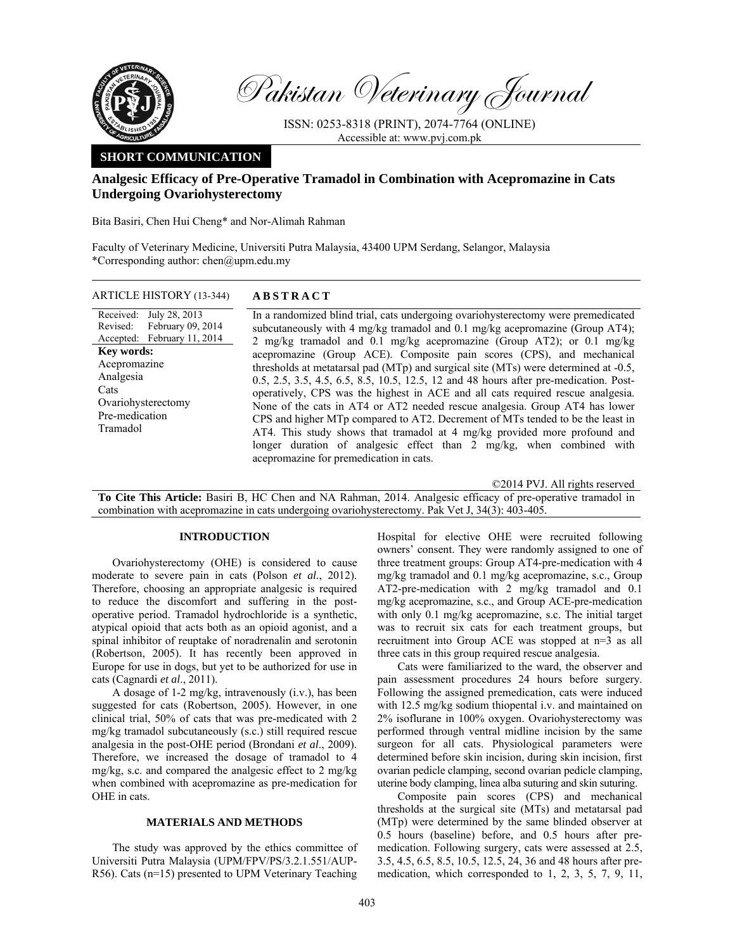

Pakistan Veterinary Journal

ISSN: 0253-8318 (PRINT), 2074-7764 (ONLINE) Accessible at: www.pvj.com.pk

# **SHORT COMMUNICATION**

# **Analgesic Efficacy of Pre-Operative Tramadol in Combination with Acepromazine in Cats Undergoing Ovariohysterectomy**

Bita Basiri, Chen Hui Cheng\* and Nor-Alimah Rahman

Faculty of Veterinary Medicine, Universiti Putra Malaysia, 43400 UPM Serdang, Selangor, Malaysia \*Corresponding author: chen@upm.edu.my

| ARTICLE HISTORY (13-344) | <b>ABSTRACT</b> |  |
|--------------------------|-----------------|--|
|                          |                 |  |

Received: Revised: Accepted: July 28, 2013 February 09, 2014 February 11, 2014 **Key words:**  Acepromazine Analgesia Cats Ovariohysterectomy Pre-medication Tramadol

 In a randomized blind trial, cats undergoing ovariohysterectomy were premedicated subcutaneously with 4 mg/kg tramadol and 0.1 mg/kg acepromazine (Group AT4); 2 mg/kg tramadol and 0.1 mg/kg acepromazine (Group AT2); or 0.1 mg/kg acepromazine (Group ACE). Composite pain scores (CPS), and mechanical thresholds at metatarsal pad (MTp) and surgical site (MTs) were determined at -0.5, 0.5, 2.5, 3.5, 4.5, 6.5, 8.5, 10.5, 12.5, 12 and 48 hours after pre-medication. Postoperatively, CPS was the highest in ACE and all cats required rescue analgesia. None of the cats in AT4 or AT2 needed rescue analgesia. Group AT4 has lower CPS and higher MTp compared to AT2. Decrement of MTs tended to be the least in AT4. This study shows that tramadol at 4 mg/kg provided more profound and longer duration of analgesic effect than 2 mg/kg, when combined with acepromazine for premedication in cats.

©2014 PVJ. All rights reserved

**To Cite This Article:** Basiri B, HC Chen and NA Rahman, 2014. Analgesic efficacy of pre-operative tramadol in combination with acepromazine in cats undergoing ovariohysterectomy. Pak Vet J, 34(3): 403-405.

## **INTRODUCTION**

Ovariohysterectomy (OHE) is considered to cause moderate to severe pain in cats (Polson *et al.*, 2012). Therefore, choosing an appropriate analgesic is required to reduce the discomfort and suffering in the postoperative period. Tramadol hydrochloride is a synthetic, atypical opioid that acts both as an opioid agonist, and a spinal inhibitor of reuptake of noradrenalin and serotonin (Robertson, 2005). It has recently been approved in Europe for use in dogs, but yet to be authorized for use in cats (Cagnardi *et al*., 2011).

A dosage of 1-2 mg/kg, intravenously (i.v.), has been suggested for cats (Robertson, 2005). However, in one clinical trial, 50% of cats that was pre-medicated with 2 mg/kg tramadol subcutaneously (s.c.) still required rescue analgesia in the post-OHE period (Brondani *et al*., 2009). Therefore, we increased the dosage of tramadol to 4 mg/kg, s.c. and compared the analgesic effect to 2 mg/kg when combined with acepromazine as pre-medication for OHE in cats.

## **MATERIALS AND METHODS**

The study was approved by the ethics committee of Universiti Putra Malaysia (UPM/FPV/PS/3.2.1.551/AUP-R56). Cats (n=15) presented to UPM Veterinary Teaching Hospital for elective OHE were recruited following owners' consent. They were randomly assigned to one of three treatment groups: Group AT4-pre-medication with 4 mg/kg tramadol and 0.1 mg/kg acepromazine, s.c., Group AT2-pre-medication with 2 mg/kg tramadol and 0.1 mg/kg acepromazine, s.c., and Group ACE-pre-medication with only 0.1 mg/kg acepromazine, s.c. The initial target was to recruit six cats for each treatment groups, but recruitment into Group ACE was stopped at n=3 as all three cats in this group required rescue analgesia.

Cats were familiarized to the ward, the observer and pain assessment procedures 24 hours before surgery. Following the assigned premedication, cats were induced with 12.5 mg/kg sodium thiopental i.v. and maintained on 2% isoflurane in 100% oxygen. Ovariohysterectomy was performed through ventral midline incision by the same surgeon for all cats. Physiological parameters were determined before skin incision, during skin incision, first ovarian pedicle clamping, second ovarian pedicle clamping, uterine body clamping, linea alba suturing and skin suturing.

Composite pain scores (CPS) and mechanical thresholds at the surgical site (MTs) and metatarsal pad (MTp) were determined by the same blinded observer at 0.5 hours (baseline) before, and 0.5 hours after premedication. Following surgery, cats were assessed at 2.5, 3.5, 4.5, 6.5, 8.5, 10.5, 12.5, 24, 36 and 48 hours after premedication, which corresponded to 1, 2, 3, 5, 7, 9, 11,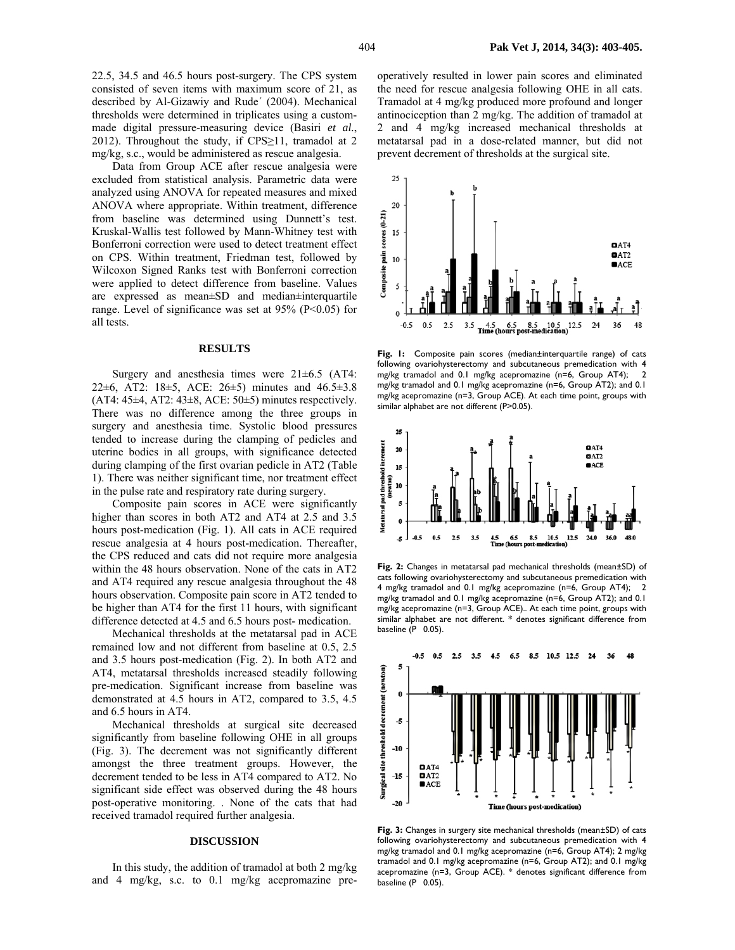Data from Group ACE after rescue analgesia were excluded from statistical analysis. Parametric data were analyzed using ANOVA for repeated measures and mixed ANOVA where appropriate. Within treatment, difference from baseline was determined using Dunnett's test. Kruskal-Wallis test followed by Mann-Whitney test with Bonferroni correction were used to detect treatment effect on CPS. Within treatment, Friedman test, followed by Wilcoxon Signed Ranks test with Bonferroni correction were applied to detect difference from baseline. Values are expressed as mean±SD and median±interquartile range. Level of significance was set at 95% (P<0.05) for all tests.

### **RESULTS**

Surgery and anesthesia times were  $21\pm6.5$  (AT4: 22±6, AT2: 18±5, ACE: 26±5) minutes and 46.5±3.8  $(AT4: 45±4, AT2: 43±8, ACE: 50±5)$  minutes respectively. There was no difference among the three groups in surgery and anesthesia time. Systolic blood pressures tended to increase during the clamping of pedicles and uterine bodies in all groups, with significance detected during clamping of the first ovarian pedicle in AT2 (Table 1). There was neither significant time, nor treatment effect in the pulse rate and respiratory rate during surgery.

Composite pain scores in ACE were significantly higher than scores in both AT2 and AT4 at 2.5 and 3.5 hours post-medication (Fig. 1). All cats in ACE required rescue analgesia at 4 hours post-medication. Thereafter, the CPS reduced and cats did not require more analgesia within the 48 hours observation. None of the cats in AT2 and AT4 required any rescue analgesia throughout the 48 hours observation. Composite pain score in AT2 tended to be higher than AT4 for the first 11 hours, with significant difference detected at 4.5 and 6.5 hours post- medication.

Mechanical thresholds at the metatarsal pad in ACE remained low and not different from baseline at 0.5, 2.5 and 3.5 hours post-medication (Fig. 2). In both AT2 and AT4, metatarsal thresholds increased steadily following pre-medication. Significant increase from baseline was demonstrated at 4.5 hours in AT2, compared to 3.5, 4.5 and 6.5 hours in AT4.

Mechanical thresholds at surgical site decreased significantly from baseline following OHE in all groups (Fig. 3). The decrement was not significantly different amongst the three treatment groups. However, the decrement tended to be less in AT4 compared to AT2. No significant side effect was observed during the 48 hours post-operative monitoring. . None of the cats that had received tramadol required further analgesia.

#### **DISCUSSION**

In this study, the addition of tramadol at both 2 mg/kg and 4 mg/kg, s.c. to 0.1 mg/kg acepromazine preoperatively resulted in lower pain scores and eliminated the need for rescue analgesia following OHE in all cats. Tramadol at 4 mg/kg produced more profound and longer antinociception than 2 mg/kg. The addition of tramadol at 2 and 4 mg/kg increased mechanical thresholds at metatarsal pad in a dose-related manner, but did not prevent decrement of thresholds at the surgical site.



**Fig. 1:** Composite pain scores (median±interquartile range) of cats following ovariohysterectomy and subcutaneous premedication with 4 mg/kg tramadol and 0.1 mg/kg acepromazine (n=6, Group AT4); 2 mg/kg tramadol and 0.1 mg/kg acepromazine (n=6, Group AT2); and 0.1 mg/kg acepromazine (n=3, Group ACE). At each time point, groups with similar alphabet are not different (P>0.05).



**Fig. 2:** Changes in metatarsal pad mechanical thresholds (mean±SD) of cats following ovariohysterectomy and subcutaneous premedication with 4 mg/kg tramadol and 0.1 mg/kg acepromazine (n=6, Group AT4); 2 mg/kg tramadol and 0.1 mg/kg acepromazine (n=6, Group AT2); and 0.1 mg/kg acepromazine (n=3, Group ACE).. At each time point, groups with similar alphabet are not different. \* denotes significant difference from baseline (P 0.05).



**Fig. 3:** Changes in surgery site mechanical thresholds (mean±SD) of cats following ovariohysterectomy and subcutaneous premedication with 4 mg/kg tramadol and 0.1 mg/kg acepromazine (n=6, Group AT4); 2 mg/kg tramadol and 0.1 mg/kg acepromazine (n=6, Group AT2); and 0.1 mg/kg acepromazine (n=3, Group ACE). \* denotes significant difference from baseline (P 0.05).